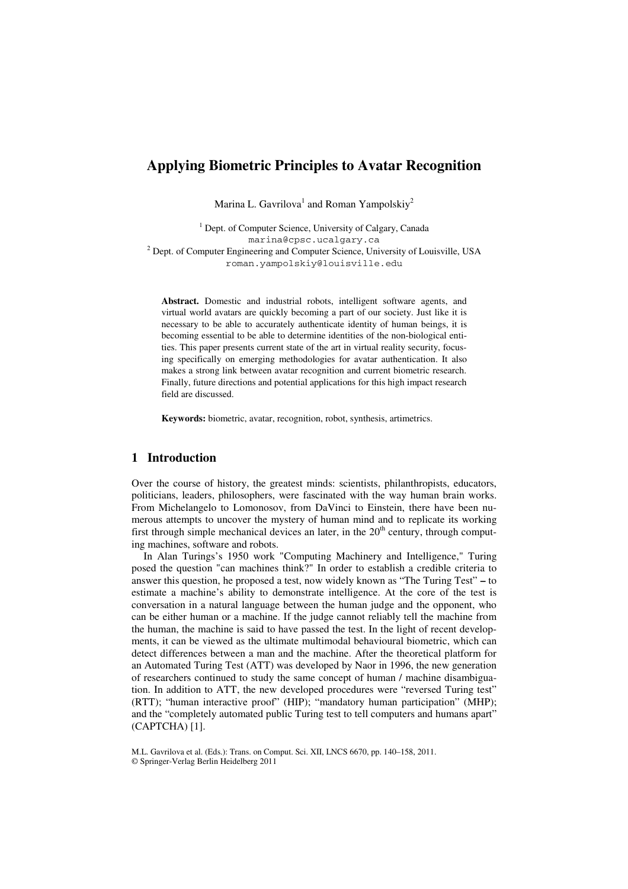# **Applying Biometric Principles to Avatar Recognition**

Marina L. Gavrilova $^{\rm l}$  and Roman Yampolskiy $^{\rm 2}$ 

<sup>1</sup> Dept. of Computer Science, University of Calgary, Canada marina@cpsc.ucalgary.ca <sup>2</sup> Dept. of Computer Engineering and Computer Science, University of Louisville, USA roman.yampolskiy@louisville.edu

**Abstract.** Domestic and industrial robots, intelligent software agents, and virtual world avatars are quickly becoming a part of our society. Just like it is necessary to be able to accurately authenticate identity of human beings, it is becoming essential to be able to determine identities of the non-biological entities. This paper presents current state of the art in virtual reality security, focusing specifically on emerging methodologies for avatar authentication. It also makes a strong link between avatar recognition and current biometric research. Finally, future directions and potential applications for this high impact research field are discussed.

**Keywords:** biometric, avatar, recognition, robot, synthesis, artimetrics.

# **1 Introduction**

Over the course of history, the greatest minds: scientists, philanthropists, educators, politicians, leaders, philosophers, were fascinated with the way human brain works. From Michelangelo to Lomonosov, from DaVinci to Einstein, there have been numerous attempts to uncover the mystery of human mind and to replicate its working first through simple mechanical devices an later, in the  $20<sup>th</sup>$  century, through computing machines, software and robots.

In Alan Turings's 1950 work "Computing Machinery and Intelligence," Turing posed the question "can machines think?" In order to establish a credible criteria to answer this question, he proposed a test, now widely known as "The Turing Test" **–** to estimate a machine's ability to demonstrate intelligence. At the core of the test is conversation in a natural language between the human judge and the opponent, who can be either human or a machine. If the judge cannot reliably tell the machine from the human, the machine is said to have passed the test. In the light of recent developments, it can be viewed as the ultimate multimodal behavioural biometric, which can detect differences between a man and the machine. After the theoretical platform for an Automated Turing Test (ATT) was developed by Naor in 1996, the new generation of researchers continued to study the same concept of human / machine disambiguation. In addition to ATT, the new developed procedures were "reversed Turing test" (RTT); "human interactive proof" (HIP); "mandatory human participation" (MHP); and the "completely automated public Turing test to tell computers and humans apart" (CAPTCHA) [1].

M.L. Gavrilova et al. (Eds.): Trans. on Comput. Sci. XII, LNCS 6670, pp. 140–158, 2011. © Springer-Verlag Berlin Heidelberg 2011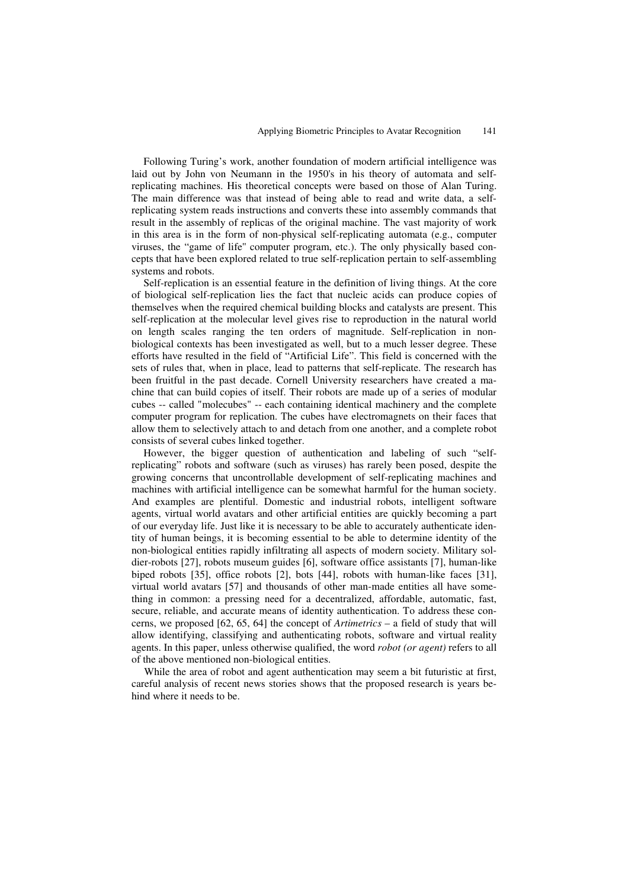Following Turing's work, another foundation of modern artificial intelligence was laid out by John von Neumann in the 1950's in his theory of automata and selfreplicating machines. His theoretical concepts were based on those of Alan Turing. The main difference was that instead of being able to read and write data, a selfreplicating system reads instructions and converts these into assembly commands that result in the assembly of replicas of the original machine. The vast majority of work in this area is in the form of non-physical self-replicating automata (e.g., computer viruses, the "game of life'' computer program, etc.). The only physically based concepts that have been explored related to true self-replication pertain to self-assembling systems and robots.

Self-replication is an essential feature in the definition of living things. At the core of biological self-replication lies the fact that nucleic acids can produce copies of themselves when the required chemical building blocks and catalysts are present. This self-replication at the molecular level gives rise to reproduction in the natural world on length scales ranging the ten orders of magnitude. Self-replication in nonbiological contexts has been investigated as well, but to a much lesser degree. These efforts have resulted in the field of "Artificial Life". This field is concerned with the sets of rules that, when in place, lead to patterns that self-replicate. The research has been fruitful in the past decade. Cornell University researchers have created a machine that can build copies of itself. Their robots are made up of a series of modular cubes -- called "molecubes" -- each containing identical machinery and the complete computer program for replication. The cubes have electromagnets on their faces that allow them to selectively attach to and detach from one another, and a complete robot consists of several cubes linked together.

However, the bigger question of authentication and labeling of such "selfreplicating" robots and software (such as viruses) has rarely been posed, despite the growing concerns that uncontrollable development of self-replicating machines and machines with artificial intelligence can be somewhat harmful for the human society. And examples are plentiful. Domestic and industrial robots, intelligent software agents, virtual world avatars and other artificial entities are quickly becoming a part of our everyday life. Just like it is necessary to be able to accurately authenticate identity of human beings, it is becoming essential to be able to determine identity of the non-biological entities rapidly infiltrating all aspects of modern society. Military soldier-robots [27], robots museum guides [6], software office assistants [7], human-like biped robots [35], office robots [2], bots [44], robots with human-like faces [31], virtual world avatars [57] and thousands of other man-made entities all have something in common: a pressing need for a decentralized, affordable, automatic, fast, secure, reliable, and accurate means of identity authentication. To address these concerns, we proposed [62, 65, 64] the concept of *Artimetrics* – a field of study that will allow identifying, classifying and authenticating robots, software and virtual reality agents. In this paper, unless otherwise qualified, the word *robot (or agent)* refers to all of the above mentioned non-biological entities.

While the area of robot and agent authentication may seem a bit futuristic at first, careful analysis of recent news stories shows that the proposed research is years behind where it needs to be.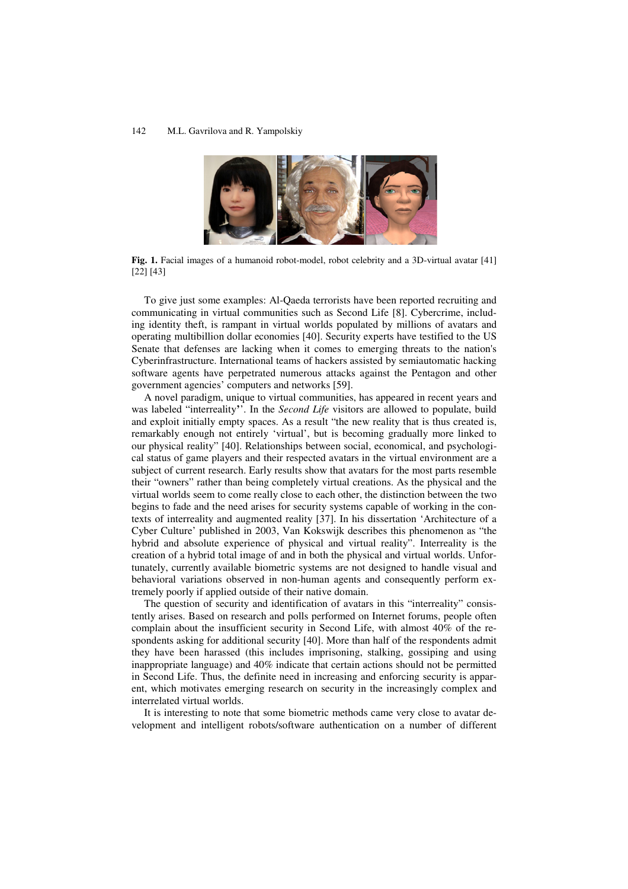

**Fig. 1.** Facial images of a humanoid robot-model, robot celebrity and a 3D-virtual avatar [41] [22] [43]

To give just some examples: Al-Qaeda terrorists have been reported recruiting and communicating in virtual communities such as Second Life [8]. Cybercrime, including identity theft, is rampant in virtual worlds populated by millions of avatars and operating multibillion dollar economies [40]. Security experts have testified to the US Senate that defenses are lacking when it comes to emerging threats to the nation's Cyberinfrastructure. International teams of hackers assisted by semiautomatic hacking software agents have perpetrated numerous attacks against the Pentagon and other government agencies' computers and networks [59].

A novel paradigm, unique to virtual communities, has appeared in recent years and was labeled "interreality**'**'. In the *Second Life* visitors are allowed to populate, build and exploit initially empty spaces. As a result "the new reality that is thus created is, remarkably enough not entirely 'virtual', but is becoming gradually more linked to our physical reality" [40]. Relationships between social, economical, and psychological status of game players and their respected avatars in the virtual environment are a subject of current research. Early results show that avatars for the most parts resemble their "owners" rather than being completely virtual creations. As the physical and the virtual worlds seem to come really close to each other, the distinction between the two begins to fade and the need arises for security systems capable of working in the contexts of interreality and augmented reality [37]. In his dissertation 'Architecture of a Cyber Culture' published in 2003, Van Kokswijk describes this phenomenon as "the hybrid and absolute experience of physical and virtual reality". Interreality is the creation of a hybrid total image of and in both the physical and virtual worlds. Unfortunately, currently available biometric systems are not designed to handle visual and behavioral variations observed in non-human agents and consequently perform extremely poorly if applied outside of their native domain.

The question of security and identification of avatars in this "interreality" consistently arises. Based on research and polls performed on Internet forums, people often complain about the insufficient security in Second Life, with almost 40% of the respondents asking for additional security [40]. More than half of the respondents admit they have been harassed (this includes imprisoning, stalking, gossiping and using inappropriate language) and 40% indicate that certain actions should not be permitted in Second Life. Thus, the definite need in increasing and enforcing security is apparent, which motivates emerging research on security in the increasingly complex and interrelated virtual worlds.

It is interesting to note that some biometric methods came very close to avatar development and intelligent robots/software authentication on a number of different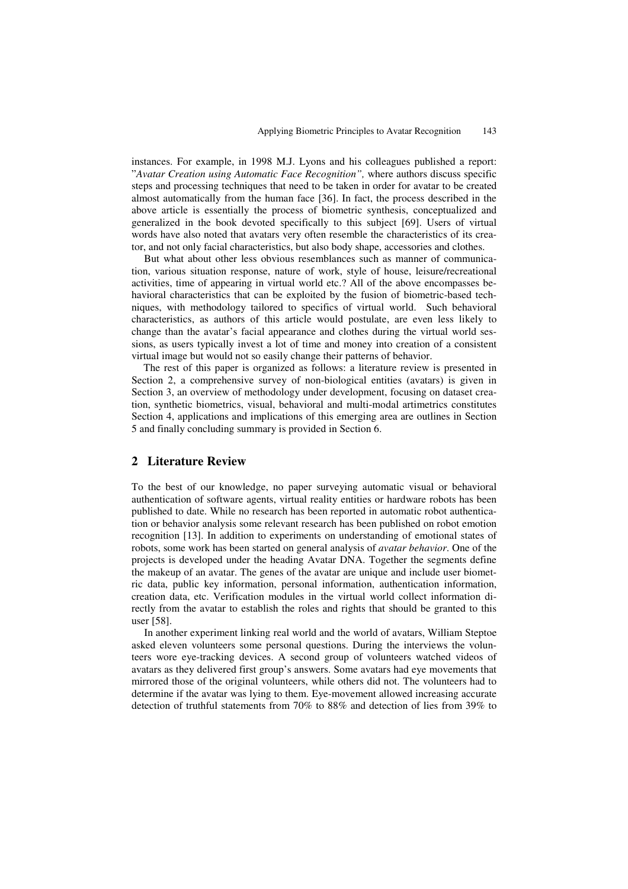instances. For example, in 1998 M.J. Lyons and his colleagues published a report: "*Avatar Creation using Automatic Face Recognition",* where authors discuss specific steps and processing techniques that need to be taken in order for avatar to be created almost automatically from the human face [36]. In fact, the process described in the above article is essentially the process of biometric synthesis, conceptualized and generalized in the book devoted specifically to this subject [69]. Users of virtual words have also noted that avatars very often resemble the characteristics of its creator, and not only facial characteristics, but also body shape, accessories and clothes.

But what about other less obvious resemblances such as manner of communication, various situation response, nature of work, style of house, leisure/recreational activities, time of appearing in virtual world etc.? All of the above encompasses behavioral characteristics that can be exploited by the fusion of biometric-based techniques, with methodology tailored to specifics of virtual world. Such behavioral characteristics, as authors of this article would postulate, are even less likely to change than the avatar's facial appearance and clothes during the virtual world sessions, as users typically invest a lot of time and money into creation of a consistent virtual image but would not so easily change their patterns of behavior.

The rest of this paper is organized as follows: a literature review is presented in Section 2, a comprehensive survey of non-biological entities (avatars) is given in Section 3, an overview of methodology under development, focusing on dataset creation, synthetic biometrics, visual, behavioral and multi-modal artimetrics constitutes Section 4, applications and implications of this emerging area are outlines in Section 5 and finally concluding summary is provided in Section 6.

### **2 Literature Review**

To the best of our knowledge, no paper surveying automatic visual or behavioral authentication of software agents, virtual reality entities or hardware robots has been published to date. While no research has been reported in automatic robot authentication or behavior analysis some relevant research has been published on robot emotion recognition [13]. In addition to experiments on understanding of emotional states of robots, some work has been started on general analysis of *avatar behavior*. One of the projects is developed under the heading Avatar DNA. Together the segments define the makeup of an avatar. The genes of the avatar are unique and include user biometric data, public key information, personal information, authentication information, creation data, etc. Verification modules in the virtual world collect information directly from the avatar to establish the roles and rights that should be granted to this user [58].

In another experiment linking real world and the world of avatars, William Steptoe asked eleven volunteers some personal questions. During the interviews the volunteers wore eye-tracking devices. A second group of volunteers watched videos of avatars as they delivered first group's answers. Some avatars had eye movements that mirrored those of the original volunteers, while others did not. The volunteers had to determine if the avatar was lying to them. Eye-movement allowed increasing accurate detection of truthful statements from 70% to 88% and detection of lies from 39% to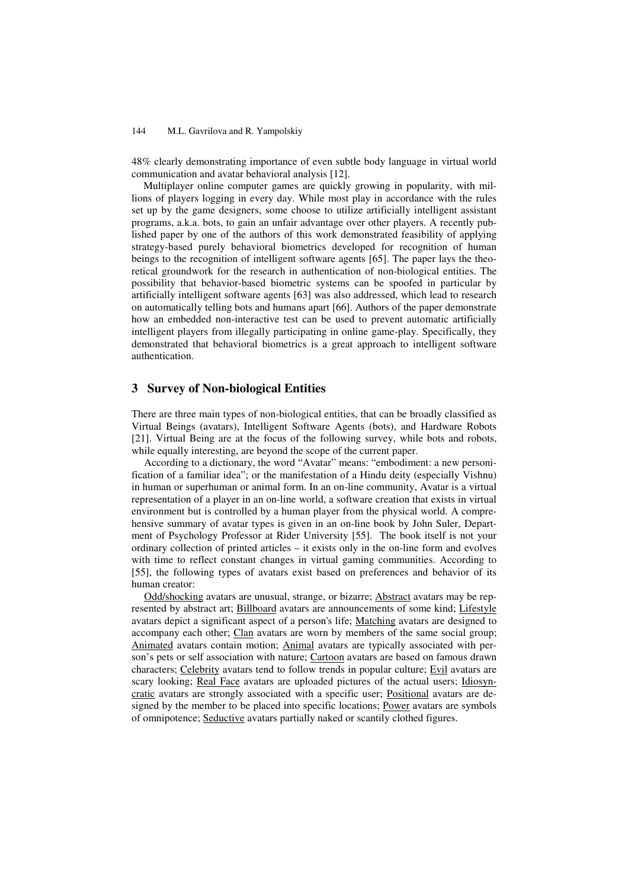48% clearly demonstrating importance of even subtle body language in virtual world communication and avatar behavioral analysis [12].

Multiplayer online computer games are quickly growing in popularity, with millions of players logging in every day. While most play in accordance with the rules set up by the game designers, some choose to utilize artificially intelligent assistant programs, a.k.a. bots, to gain an unfair advantage over other players. A recently published paper by one of the authors of this work demonstrated feasibility of applying strategy-based purely behavioral biometrics developed for recognition of human beings to the recognition of intelligent software agents [65]. The paper lays the theoretical groundwork for the research in authentication of non-biological entities. The possibility that behavior-based biometric systems can be spoofed in particular by artificially intelligent software agents [63] was also addressed, which lead to research on automatically telling bots and humans apart [66]. Authors of the paper demonstrate how an embedded non-interactive test can be used to prevent automatic artificially intelligent players from illegally participating in online game-play. Specifically, they demonstrated that behavioral biometrics is a great approach to intelligent software authentication.

# **3 Survey of Non-biological Entities**

There are three main types of non-biological entities, that can be broadly classified as Virtual Beings (avatars), Intelligent Software Agents (bots), and Hardware Robots [21]. Virtual Being are at the focus of the following survey, while bots and robots, while equally interesting, are beyond the scope of the current paper.

According to a dictionary, the word "Avatar" means: "embodiment: a new personification of a familiar idea"; or the manifestation of a Hindu deity (especially Vishnu) in human or superhuman or animal form. In an on-line community, Avatar is a virtual representation of a player in an on-line world, a software creation that exists in virtual environment but is controlled by a human player from the physical world. A comprehensive summary of avatar types is given in an on-line book by John Suler, Department of Psychology Professor at Rider University [55]. The book itself is not your ordinary collection of printed articles – it exists only in the on-line form and evolves with time to reflect constant changes in virtual gaming communities. According to [55], the following types of avatars exist based on preferences and behavior of its human creator:

Odd/shocking avatars are unusual, strange, or bizarre; Abstract avatars may be represented by abstract art; Billboard avatars are announcements of some kind; Lifestyle avatars depict a significant aspect of a person's life; Matching avatars are designed to accompany each other; Clan avatars are worn by members of the same social group; Animated avatars contain motion; Animal avatars are typically associated with person's pets or self association with nature; Cartoon avatars are based on famous drawn characters; Celebrity avatars tend to follow trends in popular culture; Evil avatars are scary looking; Real Face avatars are uploaded pictures of the actual users; Idiosyncratic avatars are strongly associated with a specific user; Positional avatars are designed by the member to be placed into specific locations; Power avatars are symbols of omnipotence; Seductive avatars partially naked or scantily clothed figures.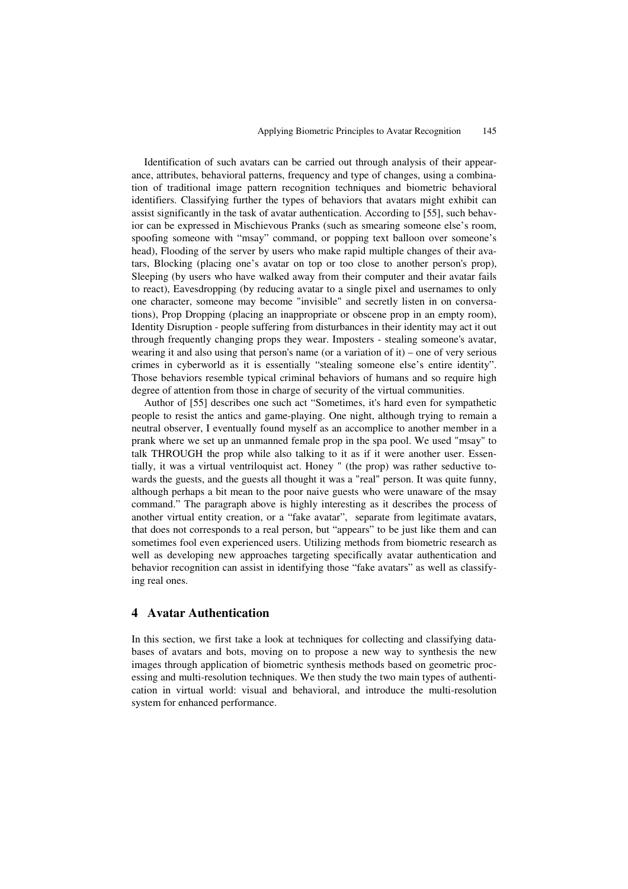Identification of such avatars can be carried out through analysis of their appearance, attributes, behavioral patterns, frequency and type of changes, using a combination of traditional image pattern recognition techniques and biometric behavioral identifiers. Classifying further the types of behaviors that avatars might exhibit can assist significantly in the task of avatar authentication. According to [55], such behavior can be expressed in Mischievous Pranks (such as smearing someone else's room, spoofing someone with "msay" command, or popping text balloon over someone's head), Flooding of the server by users who make rapid multiple changes of their avatars, Blocking (placing one's avatar on top or too close to another person's prop), Sleeping (by users who have walked away from their computer and their avatar fails to react), Eavesdropping (by reducing avatar to a single pixel and usernames to only one character, someone may become "invisible" and secretly listen in on conversations), Prop Dropping (placing an inappropriate or obscene prop in an empty room), Identity Disruption - people suffering from disturbances in their identity may act it out through frequently changing props they wear. Imposters - stealing someone's avatar, wearing it and also using that person's name (or a variation of it) – one of very serious crimes in cyberworld as it is essentially "stealing someone else's entire identity". Those behaviors resemble typical criminal behaviors of humans and so require high degree of attention from those in charge of security of the virtual communities.

Author of [55] describes one such act "Sometimes, it's hard even for sympathetic people to resist the antics and game-playing. One night, although trying to remain a neutral observer, I eventually found myself as an accomplice to another member in a prank where we set up an unmanned female prop in the spa pool. We used "msay" to talk THROUGH the prop while also talking to it as if it were another user. Essentially, it was a virtual ventriloquist act. Honey " (the prop) was rather seductive towards the guests, and the guests all thought it was a "real" person. It was quite funny, although perhaps a bit mean to the poor naive guests who were unaware of the msay command." The paragraph above is highly interesting as it describes the process of another virtual entity creation, or a "fake avatar", separate from legitimate avatars, that does not corresponds to a real person, but "appears" to be just like them and can sometimes fool even experienced users. Utilizing methods from biometric research as well as developing new approaches targeting specifically avatar authentication and behavior recognition can assist in identifying those "fake avatars" as well as classifying real ones.

### **4 Avatar Authentication**

In this section, we first take a look at techniques for collecting and classifying databases of avatars and bots, moving on to propose a new way to synthesis the new images through application of biometric synthesis methods based on geometric processing and multi-resolution techniques. We then study the two main types of authentication in virtual world: visual and behavioral, and introduce the multi-resolution system for enhanced performance.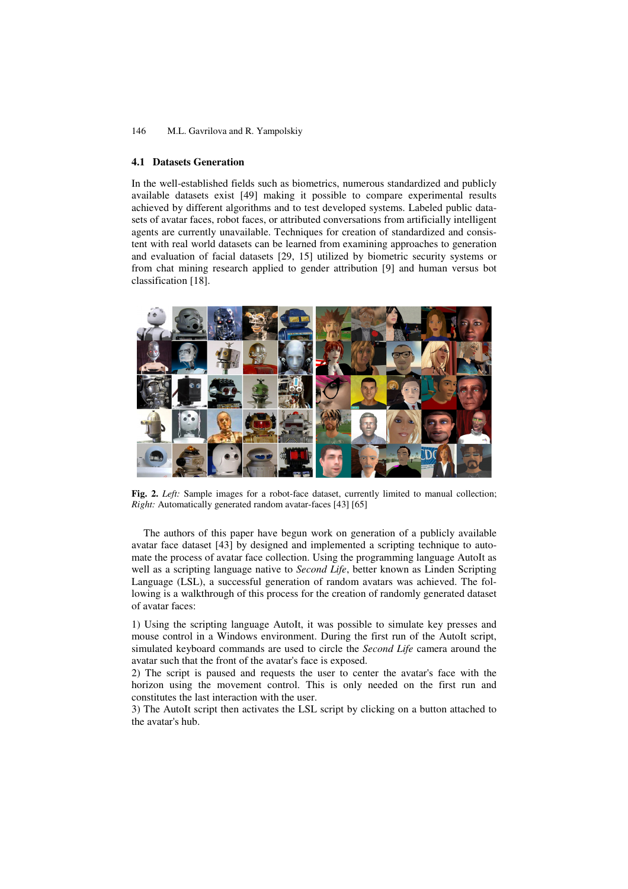#### **4.1 Datasets Generation**

In the well-established fields such as biometrics, numerous standardized and publicly available datasets exist [49] making it possible to compare experimental results achieved by different algorithms and to test developed systems. Labeled public datasets of avatar faces, robot faces, or attributed conversations from artificially intelligent agents are currently unavailable. Techniques for creation of standardized and consistent with real world datasets can be learned from examining approaches to generation and evaluation of facial datasets [29, 15] utilized by biometric security systems or from chat mining research applied to gender attribution [9] and human versus bot classification [18].



**Fig. 2.** *Left:* Sample images for a robot-face dataset, currently limited to manual collection; *Right:* Automatically generated random avatar-faces [43] [65]

The authors of this paper have begun work on generation of a publicly available avatar face dataset [43] by designed and implemented a scripting technique to automate the process of avatar face collection. Using the programming language AutoIt as well as a scripting language native to *Second Life*, better known as Linden Scripting Language (LSL), a successful generation of random avatars was achieved. The following is a walkthrough of this process for the creation of randomly generated dataset of avatar faces:

1) Using the scripting language AutoIt, it was possible to simulate key presses and mouse control in a Windows environment. During the first run of the AutoIt script, simulated keyboard commands are used to circle the *Second Life* camera around the avatar such that the front of the avatar's face is exposed.

2) The script is paused and requests the user to center the avatar's face with the horizon using the movement control. This is only needed on the first run and constitutes the last interaction with the user.

3) The AutoIt script then activates the LSL script by clicking on a button attached to the avatar's hub.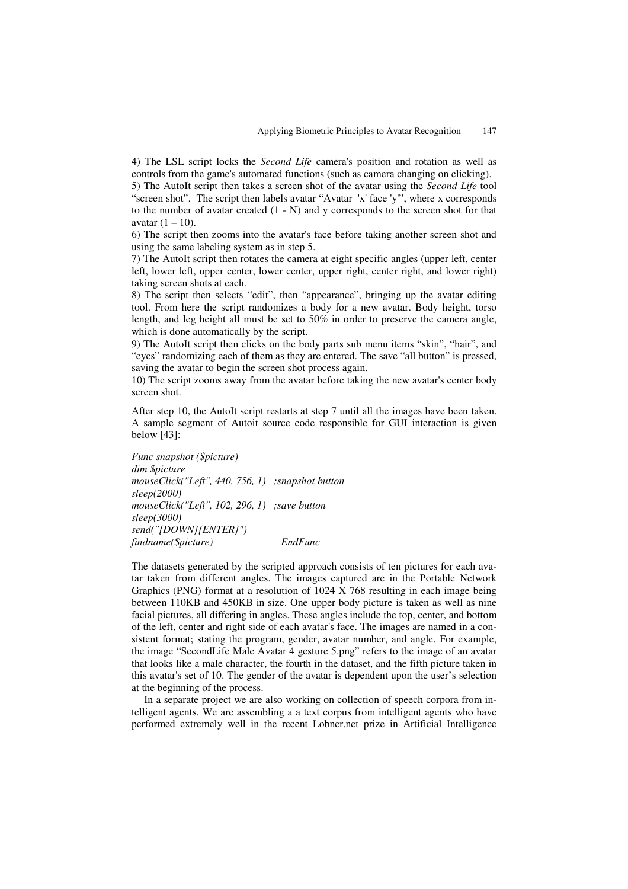4) The LSL script locks the *Second Life* camera's position and rotation as well as controls from the game's automated functions (such as camera changing on clicking).

5) The AutoIt script then takes a screen shot of the avatar using the *Second Life* tool "screen shot". The script then labels avatar "Avatar 'x' face 'y'", where x corresponds to the number of avatar created  $(1 - N)$  and y corresponds to the screen shot for that avatar  $(1 - 10)$ .

6) The script then zooms into the avatar's face before taking another screen shot and using the same labeling system as in step 5.

7) The AutoIt script then rotates the camera at eight specific angles (upper left, center left, lower left, upper center, lower center, upper right, center right, and lower right) taking screen shots at each.

8) The script then selects "edit", then "appearance", bringing up the avatar editing tool. From here the script randomizes a body for a new avatar. Body height, torso length, and leg height all must be set to  $50\%$  in order to preserve the camera angle, which is done automatically by the script.

9) The AutoIt script then clicks on the body parts sub menu items "skin", "hair", and "eyes" randomizing each of them as they are entered. The save "all button" is pressed, saving the avatar to begin the screen shot process again.

10) The script zooms away from the avatar before taking the new avatar's center body screen shot.

After step 10, the AutoIt script restarts at step 7 until all the images have been taken. A sample segment of Autoit source code responsible for GUI interaction is given below [43]:

*Func snapshot (\$picture) dim \$picture mouseClick("Left", 440, 756, 1) ;snapshot button sleep(2000) mouseClick("Left", 102, 296, 1) ;save button sleep(3000) send("{DOWN}{ENTER}") findname(\$picture) EndFunc* 

The datasets generated by the scripted approach consists of ten pictures for each avatar taken from different angles. The images captured are in the Portable Network Graphics (PNG) format at a resolution of 1024 X 768 resulting in each image being between 110KB and 450KB in size. One upper body picture is taken as well as nine facial pictures, all differing in angles. These angles include the top, center, and bottom of the left, center and right side of each avatar's face. The images are named in a consistent format; stating the program, gender, avatar number, and angle. For example, the image "SecondLife Male Avatar 4 gesture 5.png" refers to the image of an avatar that looks like a male character, the fourth in the dataset, and the fifth picture taken in this avatar's set of 10. The gender of the avatar is dependent upon the user's selection at the beginning of the process.

In a separate project we are also working on collection of speech corpora from intelligent agents. We are assembling a a text corpus from intelligent agents who have performed extremely well in the recent Lobner.net prize in Artificial Intelligence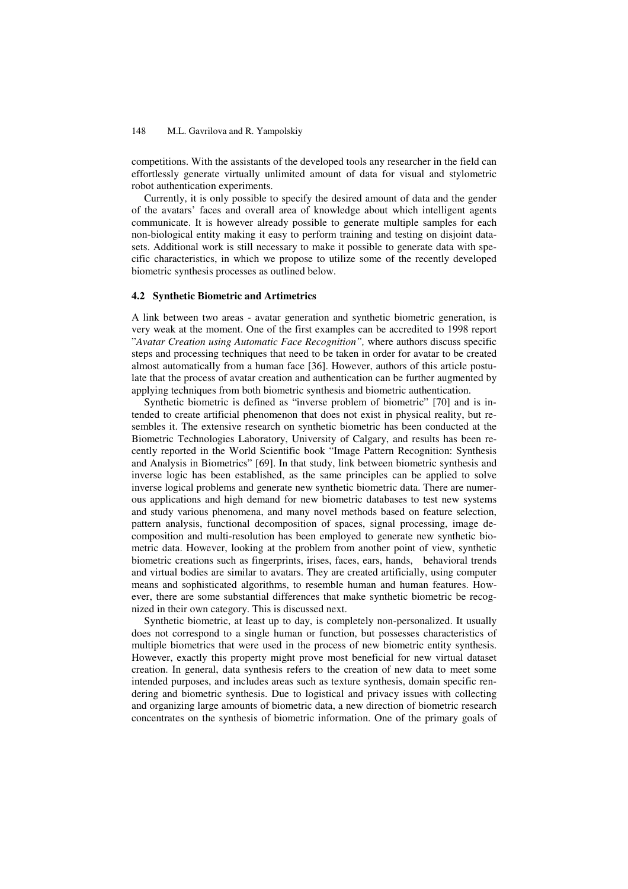competitions. With the assistants of the developed tools any researcher in the field can effortlessly generate virtually unlimited amount of data for visual and stylometric robot authentication experiments.

Currently, it is only possible to specify the desired amount of data and the gender of the avatars' faces and overall area of knowledge about which intelligent agents communicate. It is however already possible to generate multiple samples for each non-biological entity making it easy to perform training and testing on disjoint datasets. Additional work is still necessary to make it possible to generate data with specific characteristics, in which we propose to utilize some of the recently developed biometric synthesis processes as outlined below.

### **4.2 Synthetic Biometric and Artimetrics**

A link between two areas - avatar generation and synthetic biometric generation, is very weak at the moment. One of the first examples can be accredited to 1998 report "*Avatar Creation using Automatic Face Recognition",* where authors discuss specific steps and processing techniques that need to be taken in order for avatar to be created almost automatically from a human face [36]. However, authors of this article postulate that the process of avatar creation and authentication can be further augmented by applying techniques from both biometric synthesis and biometric authentication.

Synthetic biometric is defined as "inverse problem of biometric" [70] and is intended to create artificial phenomenon that does not exist in physical reality, but resembles it. The extensive research on synthetic biometric has been conducted at the Biometric Technologies Laboratory, University of Calgary, and results has been recently reported in the World Scientific book "Image Pattern Recognition: Synthesis and Analysis in Biometrics" [69]. In that study, link between biometric synthesis and inverse logic has been established, as the same principles can be applied to solve inverse logical problems and generate new synthetic biometric data. There are numerous applications and high demand for new biometric databases to test new systems and study various phenomena, and many novel methods based on feature selection, pattern analysis, functional decomposition of spaces, signal processing, image decomposition and multi-resolution has been employed to generate new synthetic biometric data. However, looking at the problem from another point of view, synthetic biometric creations such as fingerprints, irises, faces, ears, hands, behavioral trends and virtual bodies are similar to avatars. They are created artificially, using computer means and sophisticated algorithms, to resemble human and human features. However, there are some substantial differences that make synthetic biometric be recognized in their own category. This is discussed next.

Synthetic biometric, at least up to day, is completely non-personalized. It usually does not correspond to a single human or function, but possesses characteristics of multiple biometrics that were used in the process of new biometric entity synthesis. However, exactly this property might prove most beneficial for new virtual dataset creation. In general, data synthesis refers to the creation of new data to meet some intended purposes, and includes areas such as texture synthesis, domain specific rendering and biometric synthesis. Due to logistical and privacy issues with collecting and organizing large amounts of biometric data, a new direction of biometric research concentrates on the synthesis of biometric information. One of the primary goals of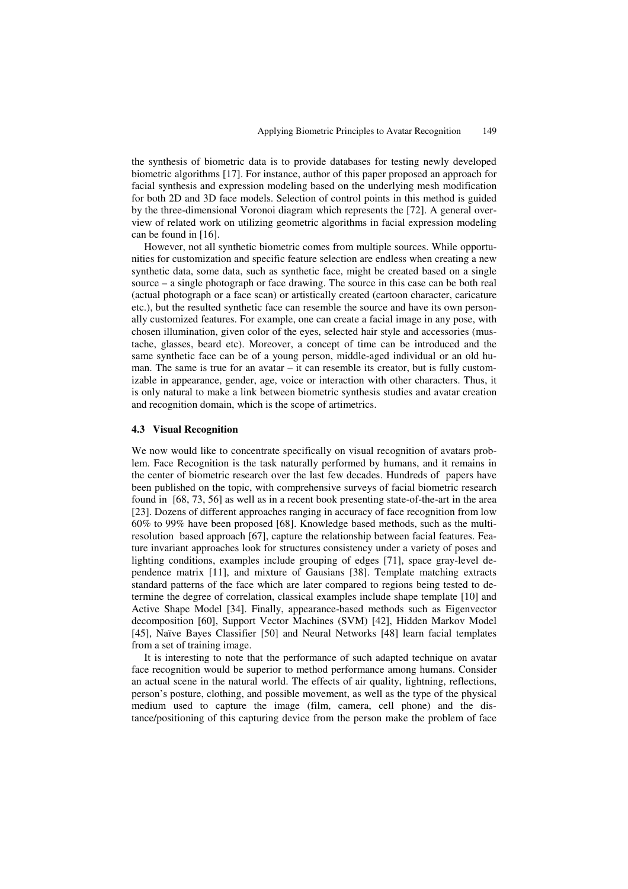the synthesis of biometric data is to provide databases for testing newly developed biometric algorithms [17]. For instance, author of this paper proposed an approach for facial synthesis and expression modeling based on the underlying mesh modification for both 2D and 3D face models. Selection of control points in this method is guided by the three-dimensional Voronoi diagram which represents the [72]. A general overview of related work on utilizing geometric algorithms in facial expression modeling can be found in [16].

However, not all synthetic biometric comes from multiple sources. While opportunities for customization and specific feature selection are endless when creating a new synthetic data, some data, such as synthetic face, might be created based on a single source – a single photograph or face drawing. The source in this case can be both real (actual photograph or a face scan) or artistically created (cartoon character, caricature etc.), but the resulted synthetic face can resemble the source and have its own personally customized features. For example, one can create a facial image in any pose, with chosen illumination, given color of the eyes, selected hair style and accessories (mustache, glasses, beard etc). Moreover, a concept of time can be introduced and the same synthetic face can be of a young person, middle-aged individual or an old human. The same is true for an avatar – it can resemble its creator, but is fully customizable in appearance, gender, age, voice or interaction with other characters. Thus, it is only natural to make a link between biometric synthesis studies and avatar creation and recognition domain, which is the scope of artimetrics.

#### **4.3 Visual Recognition**

We now would like to concentrate specifically on visual recognition of avatars problem. Face Recognition is the task naturally performed by humans, and it remains in the center of biometric research over the last few decades. Hundreds of papers have been published on the topic, with comprehensive surveys of facial biometric research found in [68, 73, 56] as well as in a recent book presenting state-of-the-art in the area [23]. Dozens of different approaches ranging in accuracy of face recognition from low 60% to 99% have been proposed [68]. Knowledge based methods, such as the multiresolution based approach [67], capture the relationship between facial features. Feature invariant approaches look for structures consistency under a variety of poses and lighting conditions, examples include grouping of edges [71], space gray-level dependence matrix [11], and mixture of Gausians [38]. Template matching extracts standard patterns of the face which are later compared to regions being tested to determine the degree of correlation, classical examples include shape template [10] and Active Shape Model [34]. Finally, appearance-based methods such as Eigenvector decomposition [60], Support Vector Machines (SVM) [42], Hidden Markov Model [45], Naïve Bayes Classifier [50] and Neural Networks [48] learn facial templates from a set of training image.

It is interesting to note that the performance of such adapted technique on avatar face recognition would be superior to method performance among humans. Consider an actual scene in the natural world. The effects of air quality, lightning, reflections, person's posture, clothing, and possible movement, as well as the type of the physical medium used to capture the image (film, camera, cell phone) and the distance/positioning of this capturing device from the person make the problem of face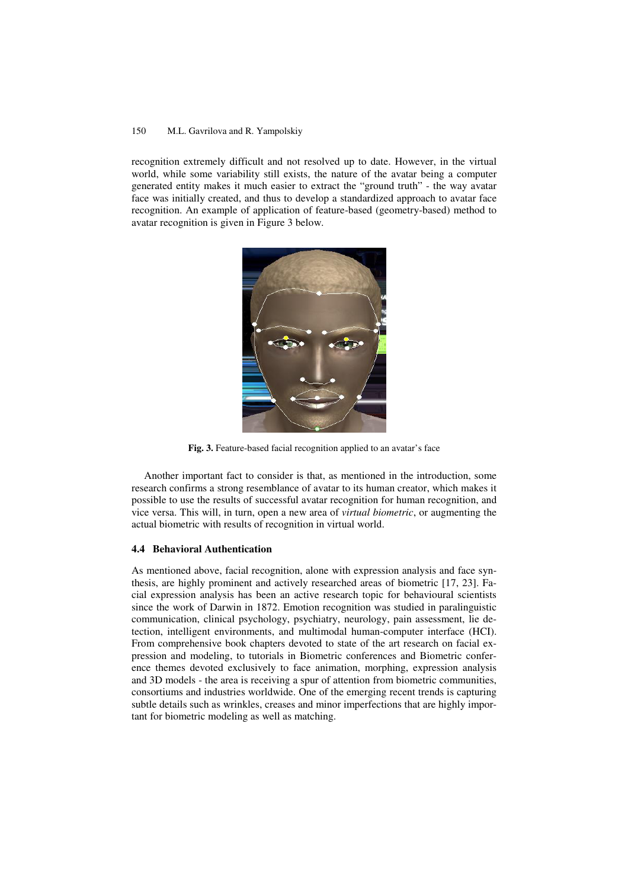recognition extremely difficult and not resolved up to date. However, in the virtual world, while some variability still exists, the nature of the avatar being a computer generated entity makes it much easier to extract the "ground truth" - the way avatar face was initially created, and thus to develop a standardized approach to avatar face recognition. An example of application of feature-based (geometry-based) method to avatar recognition is given in Figure 3 below.



**Fig. 3.** Feature-based facial recognition applied to an avatar's face

Another important fact to consider is that, as mentioned in the introduction, some research confirms a strong resemblance of avatar to its human creator, which makes it possible to use the results of successful avatar recognition for human recognition, and vice versa. This will, in turn, open a new area of *virtual biometric*, or augmenting the actual biometric with results of recognition in virtual world.

### **4.4 Behavioral Authentication**

As mentioned above, facial recognition, alone with expression analysis and face synthesis, are highly prominent and actively researched areas of biometric [17, 23]. Facial expression analysis has been an active research topic for behavioural scientists since the work of Darwin in 1872. Emotion recognition was studied in paralinguistic communication, clinical psychology, psychiatry, neurology, pain assessment, lie detection, intelligent environments, and multimodal human-computer interface (HCI). From comprehensive book chapters devoted to state of the art research on facial expression and modeling, to tutorials in Biometric conferences and Biometric conference themes devoted exclusively to face animation, morphing, expression analysis and 3D models - the area is receiving a spur of attention from biometric communities, consortiums and industries worldwide. One of the emerging recent trends is capturing subtle details such as wrinkles, creases and minor imperfections that are highly important for biometric modeling as well as matching.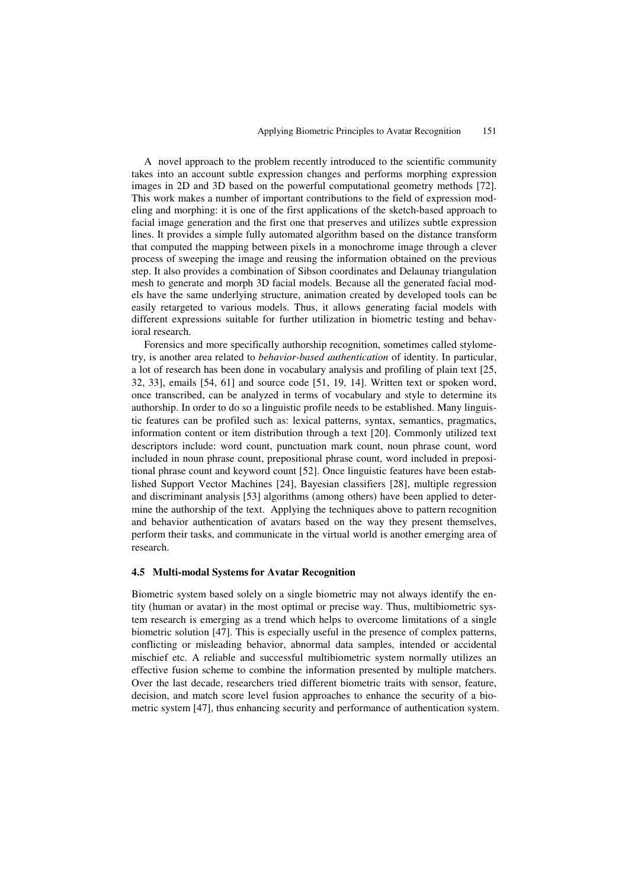A novel approach to the problem recently introduced to the scientific community takes into an account subtle expression changes and performs morphing expression images in 2D and 3D based on the powerful computational geometry methods [72]. This work makes a number of important contributions to the field of expression modeling and morphing: it is one of the first applications of the sketch-based approach to facial image generation and the first one that preserves and utilizes subtle expression lines. It provides a simple fully automated algorithm based on the distance transform that computed the mapping between pixels in a monochrome image through a clever process of sweeping the image and reusing the information obtained on the previous step. It also provides a combination of Sibson coordinates and Delaunay triangulation mesh to generate and morph 3D facial models. Because all the generated facial models have the same underlying structure, animation created by developed tools can be easily retargeted to various models. Thus, it allows generating facial models with different expressions suitable for further utilization in biometric testing and behavioral research.

Forensics and more specifically authorship recognition, sometimes called stylometry, is another area related to *behavior-based authentication* of identity. In particular, a lot of research has been done in vocabulary analysis and profiling of plain text [25, 32, 33], emails [54, 61] and source code [51, 19, 14]. Written text or spoken word, once transcribed, can be analyzed in terms of vocabulary and style to determine its authorship. In order to do so a linguistic profile needs to be established. Many linguistic features can be profiled such as: lexical patterns, syntax, semantics, pragmatics, information content or item distribution through a text [20]. Commonly utilized text descriptors include: word count, punctuation mark count, noun phrase count, word included in noun phrase count, prepositional phrase count, word included in prepositional phrase count and keyword count [52]. Once linguistic features have been established Support Vector Machines [24], Bayesian classifiers [28], multiple regression and discriminant analysis [53] algorithms (among others) have been applied to determine the authorship of the text. Applying the techniques above to pattern recognition and behavior authentication of avatars based on the way they present themselves, perform their tasks, and communicate in the virtual world is another emerging area of research.

#### **4.5 Multi-modal Systems for Avatar Recognition**

Biometric system based solely on a single biometric may not always identify the entity (human or avatar) in the most optimal or precise way. Thus, multibiometric system research is emerging as a trend which helps to overcome limitations of a single biometric solution [47]. This is especially useful in the presence of complex patterns, conflicting or misleading behavior, abnormal data samples, intended or accidental mischief etc. A reliable and successful multibiometric system normally utilizes an effective fusion scheme to combine the information presented by multiple matchers. Over the last decade, researchers tried different biometric traits with sensor, feature, decision, and match score level fusion approaches to enhance the security of a biometric system [47], thus enhancing security and performance of authentication system.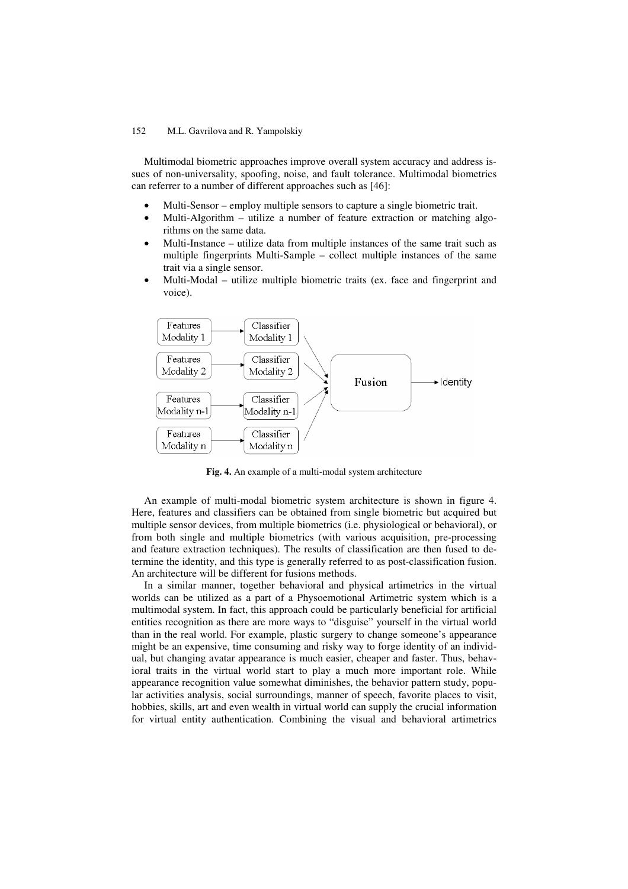Multimodal biometric approaches improve overall system accuracy and address issues of non-universality, spoofing, noise, and fault tolerance. Multimodal biometrics can referrer to a number of different approaches such as [46]:

- Multi-Sensor employ multiple sensors to capture a single biometric trait.
- Multi-Algorithm utilize a number of feature extraction or matching algorithms on the same data.
- Multi-Instance utilize data from multiple instances of the same trait such as multiple fingerprints Multi-Sample – collect multiple instances of the same trait via a single sensor.
- Multi-Modal utilize multiple biometric traits (ex. face and fingerprint and voice).



**Fig. 4.** An example of a multi-modal system architecture

An example of multi-modal biometric system architecture is shown in figure 4. Here, features and classifiers can be obtained from single biometric but acquired but multiple sensor devices, from multiple biometrics (i.e. physiological or behavioral), or from both single and multiple biometrics (with various acquisition, pre-processing and feature extraction techniques). The results of classification are then fused to determine the identity, and this type is generally referred to as post-classification fusion. An architecture will be different for fusions methods.

In a similar manner, together behavioral and physical artimetrics in the virtual worlds can be utilized as a part of a Physoemotional Artimetric system which is a multimodal system. In fact, this approach could be particularly beneficial for artificial entities recognition as there are more ways to "disguise" yourself in the virtual world than in the real world. For example, plastic surgery to change someone's appearance might be an expensive, time consuming and risky way to forge identity of an individual, but changing avatar appearance is much easier, cheaper and faster. Thus, behavioral traits in the virtual world start to play a much more important role. While appearance recognition value somewhat diminishes, the behavior pattern study, popular activities analysis, social surroundings, manner of speech, favorite places to visit, hobbies, skills, art and even wealth in virtual world can supply the crucial information for virtual entity authentication. Combining the visual and behavioral artimetrics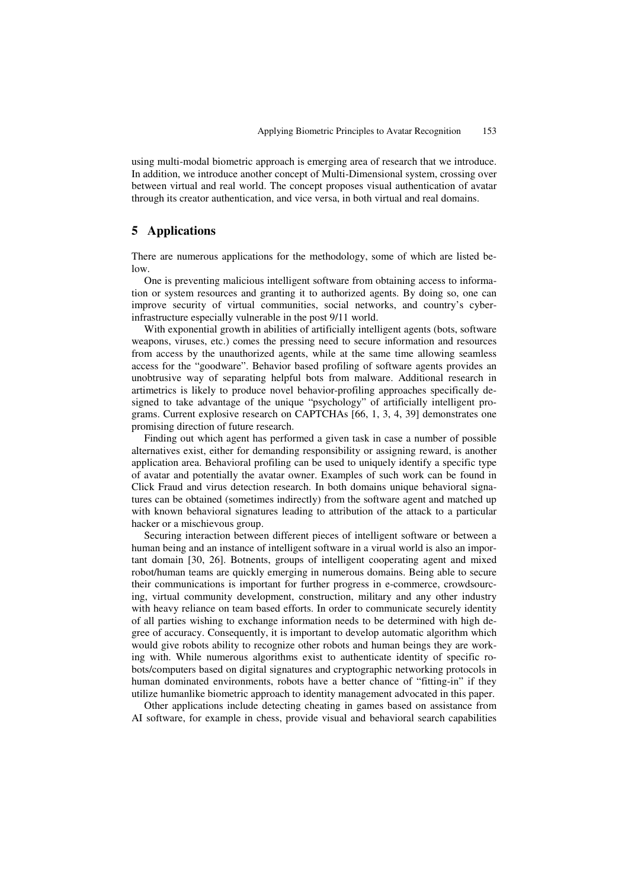using multi-modal biometric approach is emerging area of research that we introduce. In addition, we introduce another concept of Multi-Dimensional system, crossing over between virtual and real world. The concept proposes visual authentication of avatar through its creator authentication, and vice versa, in both virtual and real domains.

# **5 Applications**

There are numerous applications for the methodology, some of which are listed below.

One is preventing malicious intelligent software from obtaining access to information or system resources and granting it to authorized agents. By doing so, one can improve security of virtual communities, social networks, and country's cyberinfrastructure especially vulnerable in the post 9/11 world.

With exponential growth in abilities of artificially intelligent agents (bots, software weapons, viruses, etc.) comes the pressing need to secure information and resources from access by the unauthorized agents, while at the same time allowing seamless access for the "goodware". Behavior based profiling of software agents provides an unobtrusive way of separating helpful bots from malware. Additional research in artimetrics is likely to produce novel behavior-profiling approaches specifically designed to take advantage of the unique "psychology" of artificially intelligent programs. Current explosive research on CAPTCHAs [66, 1, 3, 4, 39] demonstrates one promising direction of future research.

Finding out which agent has performed a given task in case a number of possible alternatives exist, either for demanding responsibility or assigning reward, is another application area. Behavioral profiling can be used to uniquely identify a specific type of avatar and potentially the avatar owner. Examples of such work can be found in Click Fraud and virus detection research. In both domains unique behavioral signatures can be obtained (sometimes indirectly) from the software agent and matched up with known behavioral signatures leading to attribution of the attack to a particular hacker or a mischievous group.

Securing interaction between different pieces of intelligent software or between a human being and an instance of intelligent software in a virual world is also an important domain [30, 26]. Botnents, groups of intelligent cooperating agent and mixed robot/human teams are quickly emerging in numerous domains. Being able to secure their communications is important for further progress in e-commerce, crowdsourcing, virtual community development, construction, military and any other industry with heavy reliance on team based efforts. In order to communicate securely identity of all parties wishing to exchange information needs to be determined with high degree of accuracy. Consequently, it is important to develop automatic algorithm which would give robots ability to recognize other robots and human beings they are working with. While numerous algorithms exist to authenticate identity of specific robots/computers based on digital signatures and cryptographic networking protocols in human dominated environments, robots have a better chance of "fitting-in" if they utilize humanlike biometric approach to identity management advocated in this paper.

Other applications include detecting cheating in games based on assistance from AI software, for example in chess, provide visual and behavioral search capabilities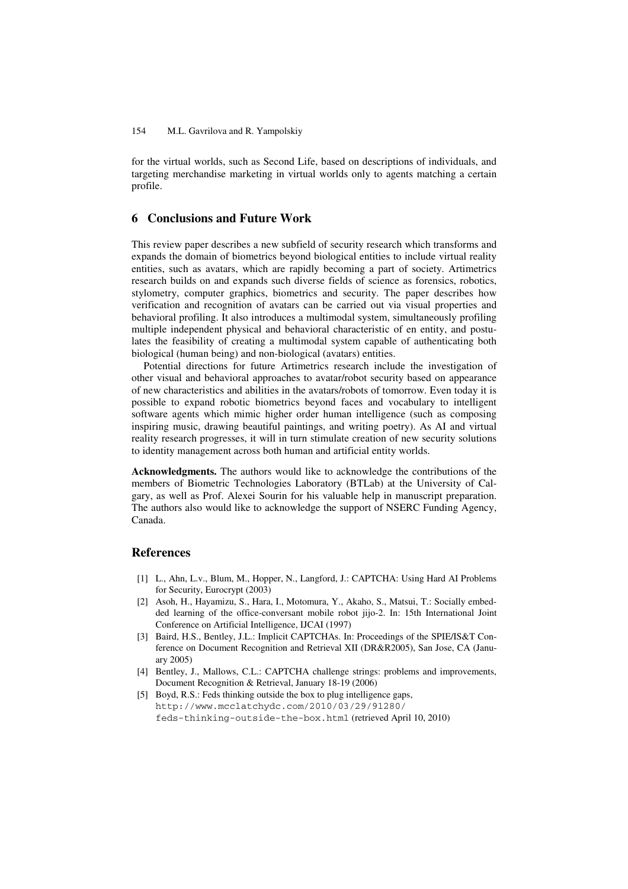for the virtual worlds, such as Second Life, based on descriptions of individuals, and targeting merchandise marketing in virtual worlds only to agents matching a certain profile.

## **6 Conclusions and Future Work**

This review paper describes a new subfield of security research which transforms and expands the domain of biometrics beyond biological entities to include virtual reality entities, such as avatars, which are rapidly becoming a part of society. Artimetrics research builds on and expands such diverse fields of science as forensics, robotics, stylometry, computer graphics, biometrics and security. The paper describes how verification and recognition of avatars can be carried out via visual properties and behavioral profiling. It also introduces a multimodal system, simultaneously profiling multiple independent physical and behavioral characteristic of en entity, and postulates the feasibility of creating a multimodal system capable of authenticating both biological (human being) and non-biological (avatars) entities.

Potential directions for future Artimetrics research include the investigation of other visual and behavioral approaches to avatar/robot security based on appearance of new characteristics and abilities in the avatars/robots of tomorrow. Even today it is possible to expand robotic biometrics beyond faces and vocabulary to intelligent software agents which mimic higher order human intelligence (such as composing inspiring music, drawing beautiful paintings, and writing poetry). As AI and virtual reality research progresses, it will in turn stimulate creation of new security solutions to identity management across both human and artificial entity worlds.

**Acknowledgments.** The authors would like to acknowledge the contributions of the members of Biometric Technologies Laboratory (BTLab) at the University of Calgary, as well as Prof. Alexei Sourin for his valuable help in manuscript preparation. The authors also would like to acknowledge the support of NSERC Funding Agency, Canada.

# **References**

- [1] L., Ahn, L.v., Blum, M., Hopper, N., Langford, J.: CAPTCHA: Using Hard AI Problems for Security, Eurocrypt (2003)
- [2] Asoh, H., Hayamizu, S., Hara, I., Motomura, Y., Akaho, S., Matsui, T.: Socially embedded learning of the office-conversant mobile robot jijo-2. In: 15th International Joint Conference on Artificial Intelligence, IJCAI (1997)
- [3] Baird, H.S., Bentley, J.L.: Implicit CAPTCHAs. In: Proceedings of the SPIE/IS&T Conference on Document Recognition and Retrieval XII (DR&R2005), San Jose, CA (January 2005)
- [4] Bentley, J., Mallows, C.L.: CAPTCHA challenge strings: problems and improvements, Document Recognition & Retrieval, January 18-19 (2006)
- [5] Boyd, R.S.: Feds thinking outside the box to plug intelligence gaps, http://www.mcclatchydc.com/2010/03/29/91280/ feds-thinking-outside-the-box.html (retrieved April 10, 2010)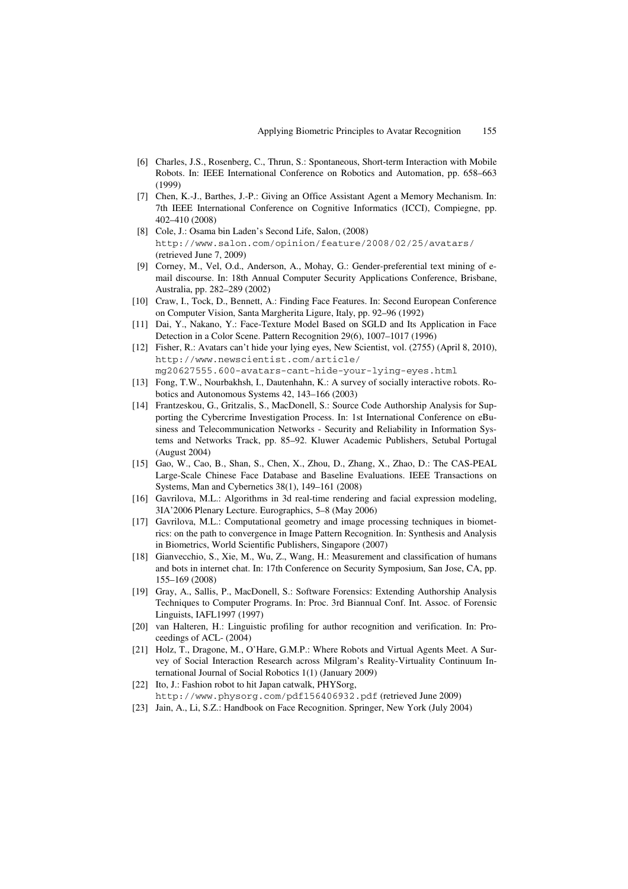- [6] Charles, J.S., Rosenberg, C., Thrun, S.: Spontaneous, Short-term Interaction with Mobile Robots. In: IEEE International Conference on Robotics and Automation, pp. 658–663 (1999)
- [7] Chen, K.-J., Barthes, J.-P.: Giving an Office Assistant Agent a Memory Mechanism. In: 7th IEEE International Conference on Cognitive Informatics (ICCI), Compiegne, pp. 402–410 (2008)
- [8] Cole, J.: Osama bin Laden's Second Life, Salon, (2008) http://www.salon.com/opinion/feature/2008/02/25/avatars/ (retrieved June 7, 2009)
- [9] Corney, M., Vel, O.d., Anderson, A., Mohay, G.: Gender-preferential text mining of email discourse. In: 18th Annual Computer Security Applications Conference, Brisbane, Australia, pp. 282–289 (2002)
- [10] Craw, I., Tock, D., Bennett, A.: Finding Face Features. In: Second European Conference on Computer Vision, Santa Margherita Ligure, Italy, pp. 92–96 (1992)
- [11] Dai, Y., Nakano, Y.: Face-Texture Model Based on SGLD and Its Application in Face Detection in a Color Scene. Pattern Recognition 29(6), 1007–1017 (1996)
- [12] Fisher, R.: Avatars can't hide your lying eyes, New Scientist, vol. (2755) (April 8, 2010), http://www.newscientist.com/article/ mg20627555.600-avatars-cant-hide-your-lying-eyes.html
- [13] Fong, T.W., Nourbakhsh, I., Dautenhahn, K.: A survey of socially interactive robots. Robotics and Autonomous Systems 42, 143–166 (2003)
- [14] Frantzeskou, G., Gritzalis, S., MacDonell, S.: Source Code Authorship Analysis for Supporting the Cybercrime Investigation Process. In: 1st International Conference on eBusiness and Telecommunication Networks - Security and Reliability in Information Systems and Networks Track, pp. 85–92. Kluwer Academic Publishers, Setubal Portugal (August 2004)
- [15] Gao, W., Cao, B., Shan, S., Chen, X., Zhou, D., Zhang, X., Zhao, D.: The CAS-PEAL Large-Scale Chinese Face Database and Baseline Evaluations. IEEE Transactions on Systems, Man and Cybernetics 38(1), 149–161 (2008)
- [16] Gavrilova, M.L.: Algorithms in 3d real-time rendering and facial expression modeling, 3IA'2006 Plenary Lecture. Eurographics, 5–8 (May 2006)
- [17] Gavrilova, M.L.: Computational geometry and image processing techniques in biometrics: on the path to convergence in Image Pattern Recognition. In: Synthesis and Analysis in Biometrics, World Scientific Publishers, Singapore (2007)
- [18] Gianvecchio, S., Xie, M., Wu, Z., Wang, H.: Measurement and classification of humans and bots in internet chat. In: 17th Conference on Security Symposium, San Jose, CA, pp. 155–169 (2008)
- [19] Gray, A., Sallis, P., MacDonell, S.: Software Forensics: Extending Authorship Analysis Techniques to Computer Programs. In: Proc. 3rd Biannual Conf. Int. Assoc. of Forensic Linguists, IAFL1997 (1997)
- [20] van Halteren, H.: Linguistic profiling for author recognition and verification. In: Proceedings of ACL- (2004)
- [21] Holz, T., Dragone, M., O'Hare, G.M.P.: Where Robots and Virtual Agents Meet. A Survey of Social Interaction Research across Milgram's Reality-Virtuality Continuum International Journal of Social Robotics 1(1) (January 2009)
- [22] Ito, J.: Fashion robot to hit Japan catwalk, PHYSorg, http://www.physorg.com/pdf156406932.pdf (retrieved June 2009)
- [23] Jain, A., Li, S.Z.: Handbook on Face Recognition. Springer, New York (July 2004)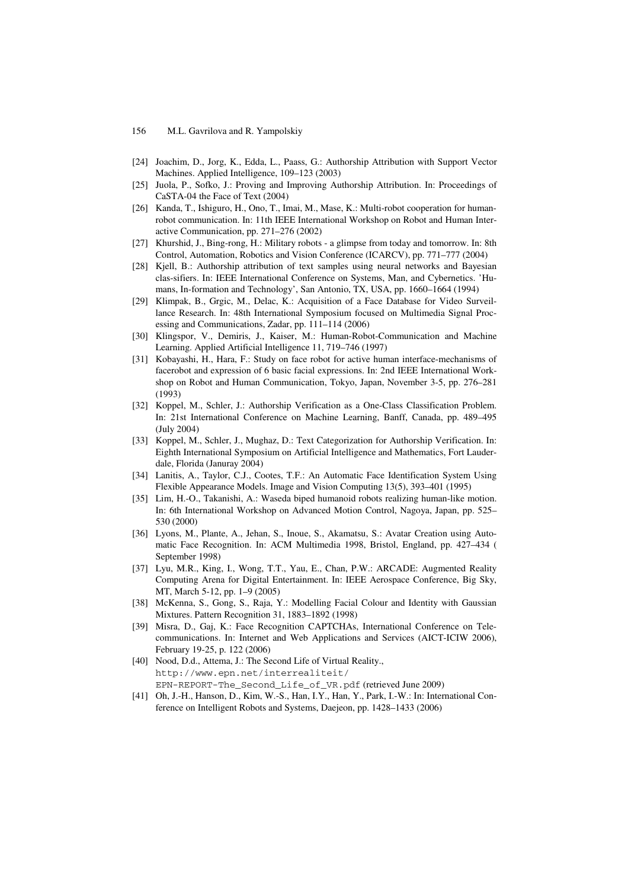- [24] Joachim, D., Jorg, K., Edda, L., Paass, G.: Authorship Attribution with Support Vector Machines. Applied Intelligence, 109–123 (2003)
- [25] Juola, P., Sofko, J.: Proving and Improving Authorship Attribution. In: Proceedings of CaSTA-04 the Face of Text (2004)
- [26] Kanda, T., Ishiguro, H., Ono, T., Imai, M., Mase, K.: Multi-robot cooperation for humanrobot communication. In: 11th IEEE International Workshop on Robot and Human Interactive Communication, pp. 271–276 (2002)
- [27] Khurshid, J., Bing-rong, H.: Military robots a glimpse from today and tomorrow. In: 8th Control, Automation, Robotics and Vision Conference (ICARCV), pp. 771–777 (2004)
- [28] Kjell, B.: Authorship attribution of text samples using neural networks and Bayesian clas-sifiers. In: IEEE International Conference on Systems, Man, and Cybernetics. 'Humans, In-formation and Technology', San Antonio, TX, USA, pp. 1660–1664 (1994)
- [29] Klimpak, B., Grgic, M., Delac, K.: Acquisition of a Face Database for Video Surveillance Research. In: 48th International Symposium focused on Multimedia Signal Processing and Communications, Zadar, pp. 111–114 (2006)
- [30] Klingspor, V., Demiris, J., Kaiser, M.: Human-Robot-Communication and Machine Learning. Applied Artificial Intelligence 11, 719–746 (1997)
- [31] Kobayashi, H., Hara, F.: Study on face robot for active human interface-mechanisms of facerobot and expression of 6 basic facial expressions. In: 2nd IEEE International Workshop on Robot and Human Communication, Tokyo, Japan, November 3-5, pp. 276–281 (1993)
- [32] Koppel, M., Schler, J.: Authorship Verification as a One-Class Classification Problem. In: 21st International Conference on Machine Learning, Banff, Canada, pp. 489–495 (July 2004)
- [33] Koppel, M., Schler, J., Mughaz, D.: Text Categorization for Authorship Verification. In: Eighth International Symposium on Artificial Intelligence and Mathematics, Fort Lauderdale, Florida (Januray 2004)
- [34] Lanitis, A., Taylor, C.J., Cootes, T.F.: An Automatic Face Identification System Using Flexible Appearance Models. Image and Vision Computing 13(5), 393–401 (1995)
- [35] Lim, H.-O., Takanishi, A.: Waseda biped humanoid robots realizing human-like motion. In: 6th International Workshop on Advanced Motion Control, Nagoya, Japan, pp. 525– 530 (2000)
- [36] Lyons, M., Plante, A., Jehan, S., Inoue, S., Akamatsu, S.: Avatar Creation using Automatic Face Recognition. In: ACM Multimedia 1998, Bristol, England, pp. 427–434 ( September 1998)
- [37] Lyu, M.R., King, I., Wong, T.T., Yau, E., Chan, P.W.: ARCADE: Augmented Reality Computing Arena for Digital Entertainment. In: IEEE Aerospace Conference, Big Sky, MT, March 5-12, pp. 1–9 (2005)
- [38] McKenna, S., Gong, S., Raja, Y.: Modelling Facial Colour and Identity with Gaussian Mixtures. Pattern Recognition 31, 1883–1892 (1998)
- [39] Misra, D., Gaj, K.: Face Recognition CAPTCHAs, International Conference on Telecommunications. In: Internet and Web Applications and Services (AICT-ICIW 2006), February 19-25, p. 122 (2006)
- [40] Nood, D.d., Attema, J.: The Second Life of Virtual Reality., http://www.epn.net/interrealiteit/ EPN-REPORT-The\_Second\_Life\_of\_VR.pdf (retrieved June 2009)
- [41] Oh, J.-H., Hanson, D., Kim, W.-S., Han, I.Y., Han, Y., Park, I.-W.: In: International Conference on Intelligent Robots and Systems, Daejeon, pp. 1428–1433 (2006)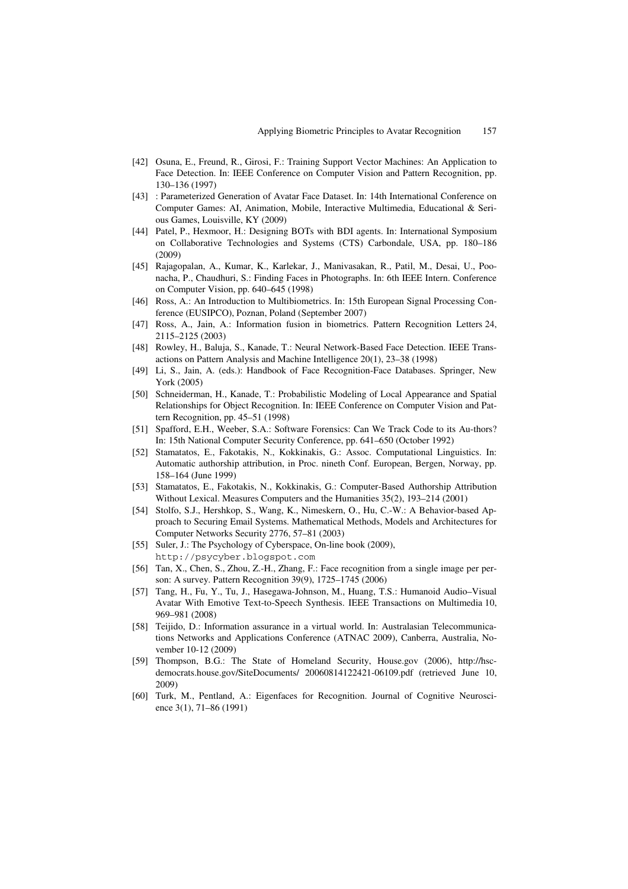- [42] Osuna, E., Freund, R., Girosi, F.: Training Support Vector Machines: An Application to Face Detection. In: IEEE Conference on Computer Vision and Pattern Recognition, pp. 130–136 (1997)
- [43] : Parameterized Generation of Avatar Face Dataset. In: 14th International Conference on Computer Games: AI, Animation, Mobile, Interactive Multimedia, Educational & Serious Games, Louisville, KY (2009)
- [44] Patel, P., Hexmoor, H.: Designing BOTs with BDI agents. In: International Symposium on Collaborative Technologies and Systems (CTS) Carbondale, USA, pp. 180–186 (2009)
- [45] Rajagopalan, A., Kumar, K., Karlekar, J., Manivasakan, R., Patil, M., Desai, U., Poonacha, P., Chaudhuri, S.: Finding Faces in Photographs. In: 6th IEEE Intern. Conference on Computer Vision, pp. 640–645 (1998)
- [46] Ross, A.: An Introduction to Multibiometrics. In: 15th European Signal Processing Conference (EUSIPCO), Poznan, Poland (September 2007)
- [47] Ross, A., Jain, A.: Information fusion in biometrics. Pattern Recognition Letters 24, 2115–2125 (2003)
- [48] Rowley, H., Baluja, S., Kanade, T.: Neural Network-Based Face Detection. IEEE Transactions on Pattern Analysis and Machine Intelligence 20(1), 23–38 (1998)
- [49] Li, S., Jain, A. (eds.): Handbook of Face Recognition-Face Databases. Springer, New York (2005)
- [50] Schneiderman, H., Kanade, T.: Probabilistic Modeling of Local Appearance and Spatial Relationships for Object Recognition. In: IEEE Conference on Computer Vision and Pattern Recognition, pp. 45–51 (1998)
- [51] Spafford, E.H., Weeber, S.A.: Software Forensics: Can We Track Code to its Au-thors? In: 15th National Computer Security Conference, pp. 641–650 (October 1992)
- [52] Stamatatos, E., Fakotakis, N., Kokkinakis, G.: Assoc. Computational Linguistics. In: Automatic authorship attribution, in Proc. nineth Conf. European, Bergen, Norway, pp. 158–164 (June 1999)
- [53] Stamatatos, E., Fakotakis, N., Kokkinakis, G.: Computer-Based Authorship Attribution Without Lexical. Measures Computers and the Humanities 35(2), 193–214 (2001)
- [54] Stolfo, S.J., Hershkop, S., Wang, K., Nimeskern, O., Hu, C.-W.: A Behavior-based Approach to Securing Email Systems. Mathematical Methods, Models and Architectures for Computer Networks Security 2776, 57–81 (2003)
- [55] Suler, J.: The Psychology of Cyberspace, On-line book (2009), http://psycyber.blogspot.com
- [56] Tan, X., Chen, S., Zhou, Z.-H., Zhang, F.: Face recognition from a single image per person: A survey. Pattern Recognition 39(9), 1725–1745 (2006)
- [57] Tang, H., Fu, Y., Tu, J., Hasegawa-Johnson, M., Huang, T.S.: Humanoid Audio–Visual Avatar With Emotive Text-to-Speech Synthesis. IEEE Transactions on Multimedia 10, 969–981 (2008)
- [58] Teijido, D.: Information assurance in a virtual world. In: Australasian Telecommunications Networks and Applications Conference (ATNAC 2009), Canberra, Australia, November 10-12 (2009)
- [59] Thompson, B.G.: The State of Homeland Security, House.gov (2006), http://hscdemocrats.house.gov/SiteDocuments/ 20060814122421-06109.pdf (retrieved June 10, 2009)
- [60] Turk, M., Pentland, A.: Eigenfaces for Recognition. Journal of Cognitive Neuroscience 3(1), 71–86 (1991)